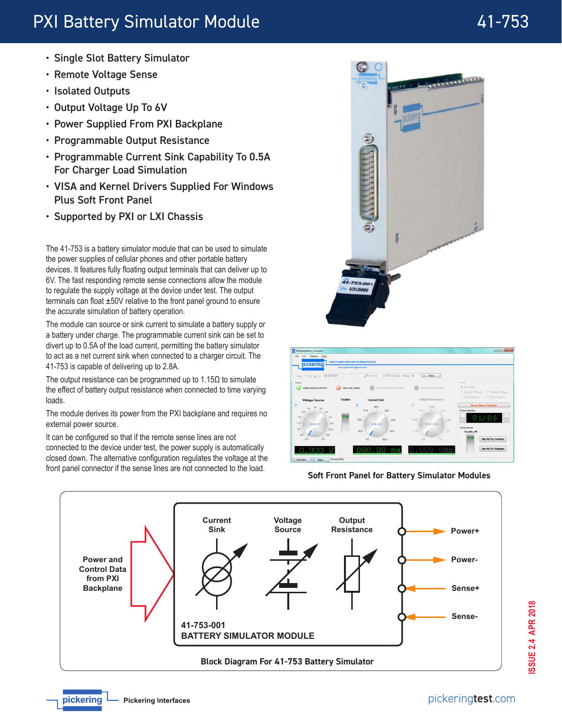# PXI Battery Simulator Module **41-753**

- Single Slot Battery Simulator
- Remote Voltage Sense
- Isolated Outputs
- Output Voltage Up To 6V
- Power Supplied From PXI Backplane
- Programmable Output Resistance
- Programmable Current Sink Capability To 0.5A For Charger Load Simulation
- VISA and Kernel Drivers Supplied For Windows Plus Soft Front Panel
- Supported by PXI or LXI Chassis

The 41-753 is a battery simulator module that can be used to simulate the power supplies of cellular phones and other portable battery devices. It features fully floating output terminals that can deliver up to 6V. The fast responding remote sense connections allow the module to regulate the supply voltage at the device under test. The output terminals can float ±50V relative to the front panel ground to ensure the accurate simulation of battery operation.

The module can source or sink current to simulate a battery supply or a battery under charge. The programmable current sink can be set to divert up to 0.5A of the load current, permitting the battery simulator to act as a net current sink when connected to a charger circuit. The 41-753 is capable of delivering up to 2.8A.

The output resistance can be programmed up to  $1.15\Omega$  to simulate the effect of battery output resistance when connected to time varying loads.

The module derives its power from the PXI backplane and requires no external power source.

It can be configured so that if the remote sense lines are not connected to the device under test, the power supply is automatically closed down. The alternative configuration regulates the voltage at the front panel connector if the sense lines are not connected to the load. **Soft Front Panel for Battery Simulator Modules**







pickering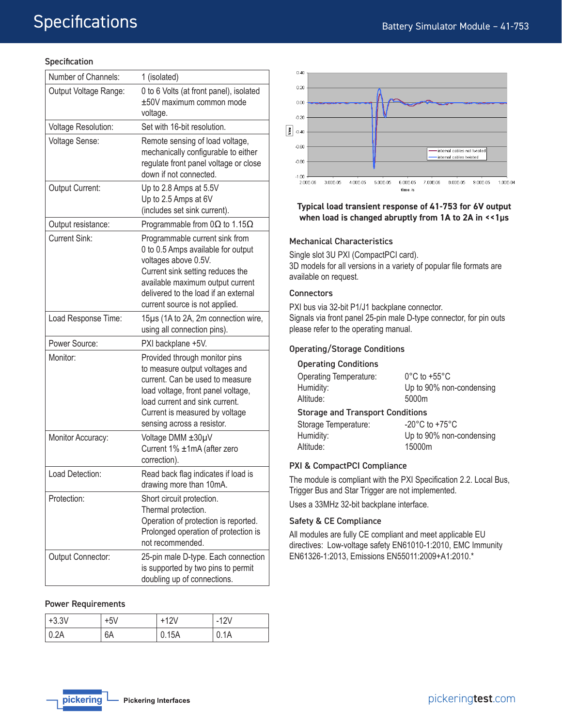## **Specification**

| Number of Channels:   | 1 (isolated)                                                                                                                                                                                                                                   |  |
|-----------------------|------------------------------------------------------------------------------------------------------------------------------------------------------------------------------------------------------------------------------------------------|--|
| Output Voltage Range: | 0 to 6 Volts (at front panel), isolated<br>±50V maximum common mode<br>voltage.                                                                                                                                                                |  |
| Voltage Resolution:   | Set with 16-bit resolution.                                                                                                                                                                                                                    |  |
| Voltage Sense:        | Remote sensing of load voltage,<br>mechanically configurable to either<br>regulate front panel voltage or close<br>down if not connected.                                                                                                      |  |
| Output Current:       | Up to 2.8 Amps at 5.5V<br>Up to 2.5 Amps at 6V<br>(includes set sink current).                                                                                                                                                                 |  |
| Output resistance:    | Programmable from $0\Omega$ to 1.15 $\Omega$                                                                                                                                                                                                   |  |
| <b>Current Sink:</b>  | Programmable current sink from<br>0 to 0.5 Amps available for output<br>voltages above 0.5V.<br>Current sink setting reduces the<br>available maximum output current<br>delivered to the load if an external<br>current source is not applied. |  |
| Load Response Time:   | 15µs (1A to 2A, 2m connection wire,<br>using all connection pins).                                                                                                                                                                             |  |
| Power Source:         | PXI backplane +5V.                                                                                                                                                                                                                             |  |
| Monitor:              | Provided through monitor pins<br>to measure output voltages and<br>current. Can be used to measure<br>load voltage, front panel voltage,<br>load current and sink current.<br>Current is measured by voltage<br>sensing across a resistor.     |  |
| Monitor Accuracy:     | Voltage DMM ±30µV<br>Current 1% ±1mA (after zero<br>correction).                                                                                                                                                                               |  |
| Load Detection:       | Read back flag indicates if load is<br>drawing more than 10mA.                                                                                                                                                                                 |  |
| Protection:           | Short circuit protection.<br>Thermal protection.<br>Operation of protection is reported.<br>Prolonged operation of protection is<br>not recommended.                                                                                           |  |
| Output Connector:     | 25-pin male D-type. Each connection<br>is supported by two pins to permit<br>doubling up of connections.                                                                                                                                       |  |

#### Power Requirements

| $+3.3V$      | $+5V$ | $+12V$ | -12V |
|--------------|-------|--------|------|
| $\vert$ 0.2A | 6A    | 0.15A  | 0.1A |



#### **Typical load transient response of 41-753 for 6V output when load is changed abruptly from 1A to 2A in <<1µs**

#### Mechanical Characteristics

Single slot 3U PXI (CompactPCI card). 3D models for all versions in a variety of popular file formats are available on request.

#### **Connectors**

PXI bus via 32-bit P1/J1 backplane connector. Signals via front panel 25-pin male D-type connector, for pin outs please refer to the operating manual.

## Operating/Storage Conditions

#### Operating Conditions

| <b>Operating Temperature:</b><br>Humidity:<br>Altitude: | $0^{\circ}$ C to +55 $^{\circ}$ C<br>Up to 90% non-condensing<br>5000m |  |  |  |
|---------------------------------------------------------|------------------------------------------------------------------------|--|--|--|
| <b>Storage and Transport Conditions</b>                 |                                                                        |  |  |  |
| Storage Temperature:                                    | $-20^{\circ}$ C to $+75^{\circ}$ C                                     |  |  |  |
| Humidity:                                               | Up to 90% non-condensing                                               |  |  |  |
| Altitude:                                               | 15000m                                                                 |  |  |  |

#### PXI & CompactPCI Compliance

The module is compliant with the PXI Specification 2.2. Local Bus, Trigger Bus and Star Trigger are not implemented.

Uses a 33MHz 32-bit backplane interface.

#### Safety & CE Compliance

All modules are fully CE compliant and meet applicable EU directives: Low-voltage safety EN61010-1:2010, EMC Immunity EN61326-1:2013, Emissions EN55011:2009+A1:2010.\*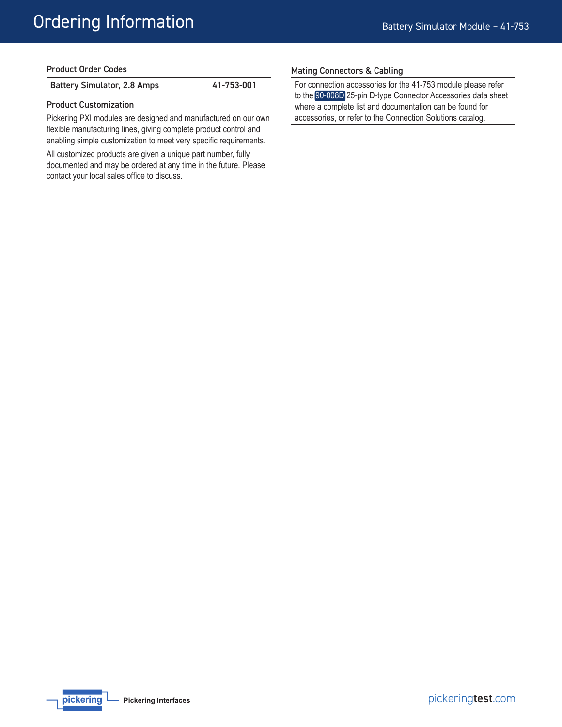| <b>Product Order Codes</b> |  |  |
|----------------------------|--|--|
|----------------------------|--|--|

| <b>Battery Simulator, 2.8 Amps</b> | 41-753-001 |
|------------------------------------|------------|
|------------------------------------|------------|

#### Product Customization

Pickering PXI modules are designed and manufactured on our own flexible manufacturing lines, giving complete product control and enabling simple customization to meet very specific requirements.

All customized products are given a unique part number, fully documented and may be ordered at any time in the future. Please contact your local sales office to discuss.

#### Mating Connectors & Cabling

For connection accessories for the 41-753 module please refer to the [90-008D](http://www.pickeringtest.com/content/downloads/datasheets/90-008D.pdf) 25-pin D-type Connector Accessories data sheet where a complete list and documentation can be found for accessories, or refer to the Connection Solutions catalog.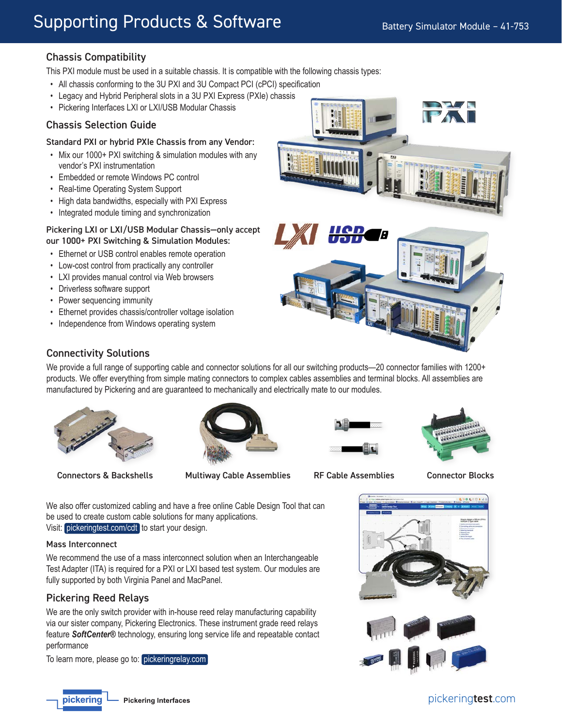# Chassis Compatibility

This PXI module must be used in a suitable chassis. It is compatible with the following chassis types:

- All chassis conforming to the 3U PXI and 3U Compact PCI (cPCI) specification
- Legacy and Hybrid Peripheral slots in a 3U PXI Express (PXIe) chassis
- Pickering Interfaces LXI or LXI/USB Modular Chassis

## Chassis Selection Guide

## Standard PXI or hybrid PXIe Chassis from any Vendor:

- Mix our 1000 + PXI switching & simulation modules with any vendor's PXI instrumentation
- Embedded or remote Windows PC control
- Real-time Operating System Support
- High data bandwidths, especially with PXI Express
- Integrated module timing and synchronization

## Pickering LXI or LXI/USB Modular Chassis—only accept our 1000+ PXI Switching & Simulation Modules:

- Ethernet or USB control enables remote operation
- Low-cost control from practically any controller
- LXI provides manual control via Web browsers
- Driverless software support
- Power sequencing immunity
- Ethernet provides chassis/controller voltage isolation
- Independence from Windows operating system



## Connectivity Solutions

We provide a full range of supporting cable and connector solutions for all our switching products—20 connector families with 1200+ products. We offer everything from simple mating connectors to complex cables assemblies and terminal blocks. All assemblies are manufactured by Pickering and are guaranteed to mechanically and electrically mate to our modules.



Connectors & Backshells Multiway Cable Assemblies RF Cable Assemblies Connector Blocks







We also offer customized cabling and have a free online Cable Design Tool that can be used to create custom cable solutions for many applications. Visit: [pickeringtest.com/cdt](http://www.pickeringtest.com/cdt) to start your design.

### Mass Interconnect

We recommend the use of a mass interconnect solution when an Interchangeable Test Adapter (ITA) is required for a PXI or LXI based test system. Our modules are fully supported by both Virginia Panel and MacPanel.

## Pickering Reed Relays

We are the only switch provider with in-house reed relay manufacturing capability via our sister company, Pickering Electronics. These instrument grade reed relays feature *SoftCenter®* technology, ensuring long service life and repeatable contact performance

To learn more, please go to: [pickeringrelay.com](http://www.pickeringrelay.com)